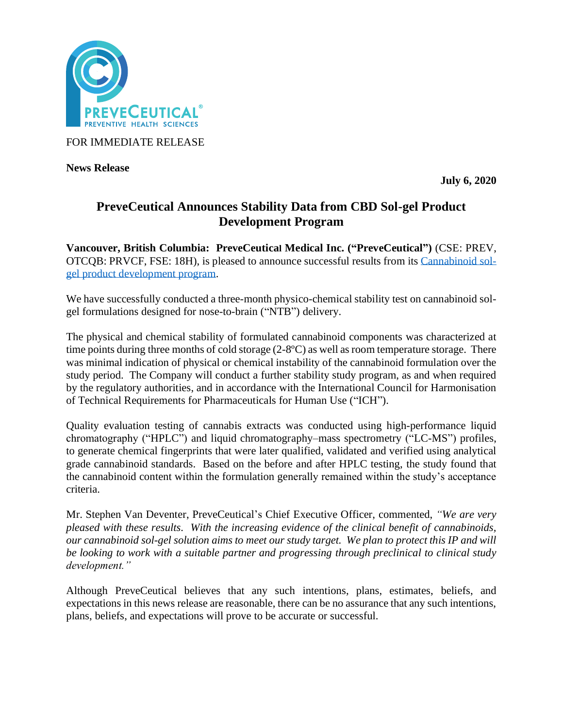

FOR IMMEDIATE RELEASE

**News Release** 

**July 6, 2020**

# **PreveCeutical Announces Stability Data from CBD Sol-gel Product Development Program**

**Vancouver, British Columbia: PreveCeutical Medical Inc. ("PreveCeutical")** (CSE: PREV, OTCQB: PRVCF, FSE: 18H), is pleased to announce successful results from its [Cannabinoid](https://www.preveceutical.com/pipeline/cannabinoid-sol-gel/) sol[gel product development program.](https://www.preveceutical.com/pipeline/cannabinoid-sol-gel/)

We have successfully conducted a three-month physico-chemical stability test on cannabinoid solgel formulations designed for nose-to-brain ("NTB") delivery.

The physical and chemical stability of formulated cannabinoid components was characterized at time points during three months of cold storage (2-8ºC) as well as room temperature storage. There was minimal indication of physical or chemical instability of the cannabinoid formulation over the study period. The Company will conduct a further stability study program, as and when required by the regulatory authorities, and in accordance with the International Council for Harmonisation of Technical Requirements for Pharmaceuticals for Human Use ("ICH").

Quality evaluation testing of cannabis extracts was conducted using high-performance liquid chromatography ("HPLC") and liquid chromatography–mass spectrometry ("LC-MS") profiles, to generate chemical fingerprints that were later qualified, validated and verified using analytical grade cannabinoid standards. Based on the before and after HPLC testing, the study found that the cannabinoid content within the formulation generally remained within the study's acceptance criteria.

Mr. Stephen Van Deventer, PreveCeutical's Chief Executive Officer, commented, *"We are very pleased with these results. With the increasing evidence of the clinical benefit of cannabinoids, our cannabinoid sol-gel solution aims to meet our study target. We plan to protect this IP and will be looking to work with a suitable partner and progressing through preclinical to clinical study development."*

Although PreveCeutical believes that any such intentions, plans, estimates, beliefs, and expectations in this news release are reasonable, there can be no assurance that any such intentions, plans, beliefs, and expectations will prove to be accurate or successful.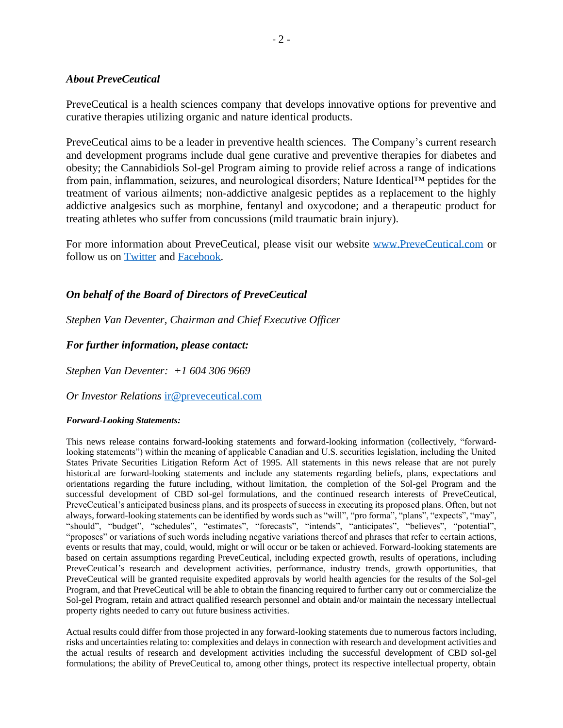### *About PreveCeutical*

PreveCeutical is a health sciences company that develops innovative options for preventive and curative therapies utilizing organic and nature identical products.

PreveCeutical aims to be a leader in preventive health sciences. The Company's current research and development programs include dual gene curative and preventive therapies for diabetes and obesity; the Cannabidiols Sol-gel Program aiming to provide relief across a range of indications from pain, inflammation, seizures, and neurological disorders; Nature Identical™ peptides for the treatment of various ailments; non-addictive analgesic peptides as a replacement to the highly addictive analgesics such as morphine, fentanyl and oxycodone; and a therapeutic product for treating athletes who suffer from concussions (mild traumatic brain injury).

For more information about PreveCeutical, please visit our website [www.PreveCeutical.com](http://www.preveceutical.com/) or follow us on [Twitter](http://twitter.com/PreveCeuticals) and [Facebook.](http://www.facebook.com/PreveCeutical)

# *On behalf of the Board of Directors of PreveCeutical*

*Stephen Van Deventer, Chairman and Chief Executive Officer*

## *For further information, please contact:*

*Stephen Van Deventer: +1 604 306 9669*

#### *Or Investor Relations* [ir@preveceutical.com](mailto:ir@preveceutical.com)

#### *Forward-Looking Statements:*

This news release contains forward-looking statements and forward-looking information (collectively, "forwardlooking statements") within the meaning of applicable Canadian and U.S. securities legislation, including the United States Private Securities Litigation Reform Act of 1995. All statements in this news release that are not purely historical are forward-looking statements and include any statements regarding beliefs, plans, expectations and orientations regarding the future including, without limitation, the completion of the Sol-gel Program and the successful development of CBD sol-gel formulations, and the continued research interests of PreveCeutical, PreveCeutical's anticipated business plans, and its prospects of success in executing its proposed plans. Often, but not always, forward-looking statements can be identified by words such as "will", "pro forma", "plans", "expects", "may", "should", "budget", "schedules", "estimates", "forecasts", "intends", "anticipates", "believes", "potential", "proposes" or variations of such words including negative variations thereof and phrases that refer to certain actions, events or results that may, could, would, might or will occur or be taken or achieved. Forward-looking statements are based on certain assumptions regarding PreveCeutical, including expected growth, results of operations, including PreveCeutical's research and development activities, performance, industry trends, growth opportunities, that PreveCeutical will be granted requisite expedited approvals by world health agencies for the results of the Sol-gel Program, and that PreveCeutical will be able to obtain the financing required to further carry out or commercialize the Sol-gel Program, retain and attract qualified research personnel and obtain and/or maintain the necessary intellectual property rights needed to carry out future business activities.

Actual results could differ from those projected in any forward-looking statements due to numerous factors including, risks and uncertainties relating to: complexities and delays in connection with research and development activities and the actual results of research and development activities including the successful development of CBD sol-gel formulations; the ability of PreveCeutical to, among other things, protect its respective intellectual property, obtain